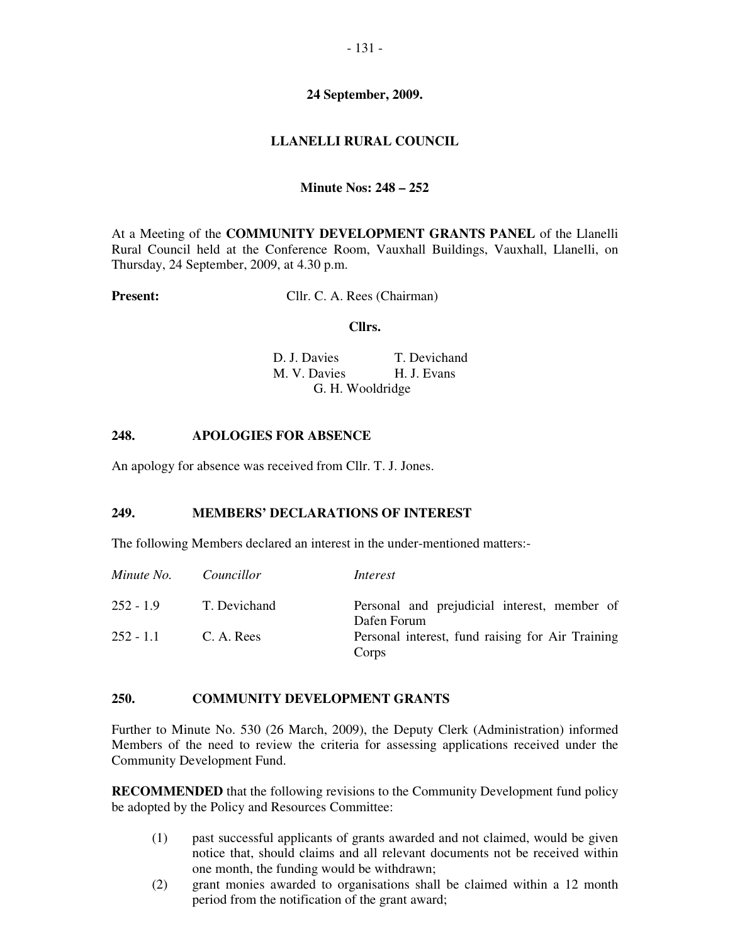### **24 September, 2009.**

## **LLANELLI RURAL COUNCIL**

## **Minute Nos: 248 – 252**

At a Meeting of the **COMMUNITY DEVELOPMENT GRANTS PANEL** of the Llanelli Rural Council held at the Conference Room, Vauxhall Buildings, Vauxhall, Llanelli, on Thursday, 24 September, 2009, at 4.30 p.m.

**Present:** Cllr. C. A. Rees (Chairman)

#### **Cllrs.**

D. J. Davies T. Devichand M. V. Davies H. J. Evans G. H. Wooldridge

## **248. APOLOGIES FOR ABSENCE**

An apology for absence was received from Cllr. T. J. Jones.

#### **249. MEMBERS' DECLARATIONS OF INTEREST**

The following Members declared an interest in the under-mentioned matters:-

| Minute No.  | Councillor   | Interest                                                    |
|-------------|--------------|-------------------------------------------------------------|
| $252 - 1.9$ | T. Devichand | Personal and prejudicial interest, member of<br>Dafen Forum |
| $252 - 1.1$ | C. A. Rees   | Personal interest, fund raising for Air Training<br>Corps   |

#### **250. COMMUNITY DEVELOPMENT GRANTS**

Further to Minute No. 530 (26 March, 2009), the Deputy Clerk (Administration) informed Members of the need to review the criteria for assessing applications received under the Community Development Fund.

**RECOMMENDED** that the following revisions to the Community Development fund policy be adopted by the Policy and Resources Committee:

- (1) past successful applicants of grants awarded and not claimed, would be given notice that, should claims and all relevant documents not be received within one month, the funding would be withdrawn;
- (2) grant monies awarded to organisations shall be claimed within a 12 month period from the notification of the grant award;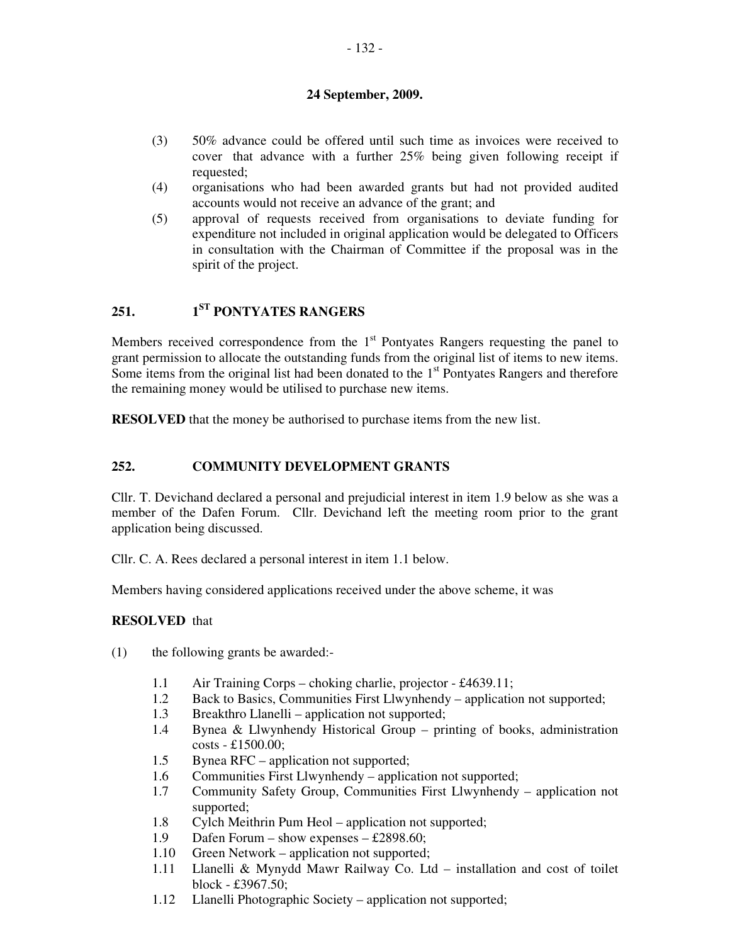## **24 September, 2009.**

- (3) 50% advance could be offered until such time as invoices were received to cover that advance with a further 25% being given following receipt if requested;
- (4) organisations who had been awarded grants but had not provided audited accounts would not receive an advance of the grant; and
- (5) approval of requests received from organisations to deviate funding for expenditure not included in original application would be delegated to Officers in consultation with the Chairman of Committee if the proposal was in the spirit of the project.

# **251. 1ST PONTYATES RANGERS**

Members received correspondence from the  $1<sup>st</sup>$  Pontyates Rangers requesting the panel to grant permission to allocate the outstanding funds from the original list of items to new items. Some items from the original list had been donated to the  $1<sup>st</sup>$  Pontyates Rangers and therefore the remaining money would be utilised to purchase new items.

**RESOLVED** that the money be authorised to purchase items from the new list.

## **252. COMMUNITY DEVELOPMENT GRANTS**

Cllr. T. Devichand declared a personal and prejudicial interest in item 1.9 below as she was a member of the Dafen Forum. Cllr. Devichand left the meeting room prior to the grant application being discussed.

Cllr. C. A. Rees declared a personal interest in item 1.1 below.

Members having considered applications received under the above scheme, it was

#### **RESOLVED** that

- (1) the following grants be awarded:-
	- 1.1 Air Training Corps choking charlie, projector £4639.11;
	- 1.2 Back to Basics, Communities First Llwynhendy application not supported;
	- 1.3 Breakthro Llanelli application not supported;
	- 1.4 Bynea & Llwynhendy Historical Group printing of books, administration costs - £1500.00;
	- 1.5 Bynea RFC application not supported;
	- 1.6 Communities First Llwynhendy application not supported;
	- 1.7 Community Safety Group, Communities First Llwynhendy application not supported;
	- 1.8 Cylch Meithrin Pum Heol application not supported;
	- 1.9 Dafen Forum show expenses £2898.60;
	- 1.10 Green Network application not supported;
	- 1.11 Llanelli & Mynydd Mawr Railway Co. Ltd installation and cost of toilet block - £3967.50;
	- 1.12 Llanelli Photographic Society application not supported;